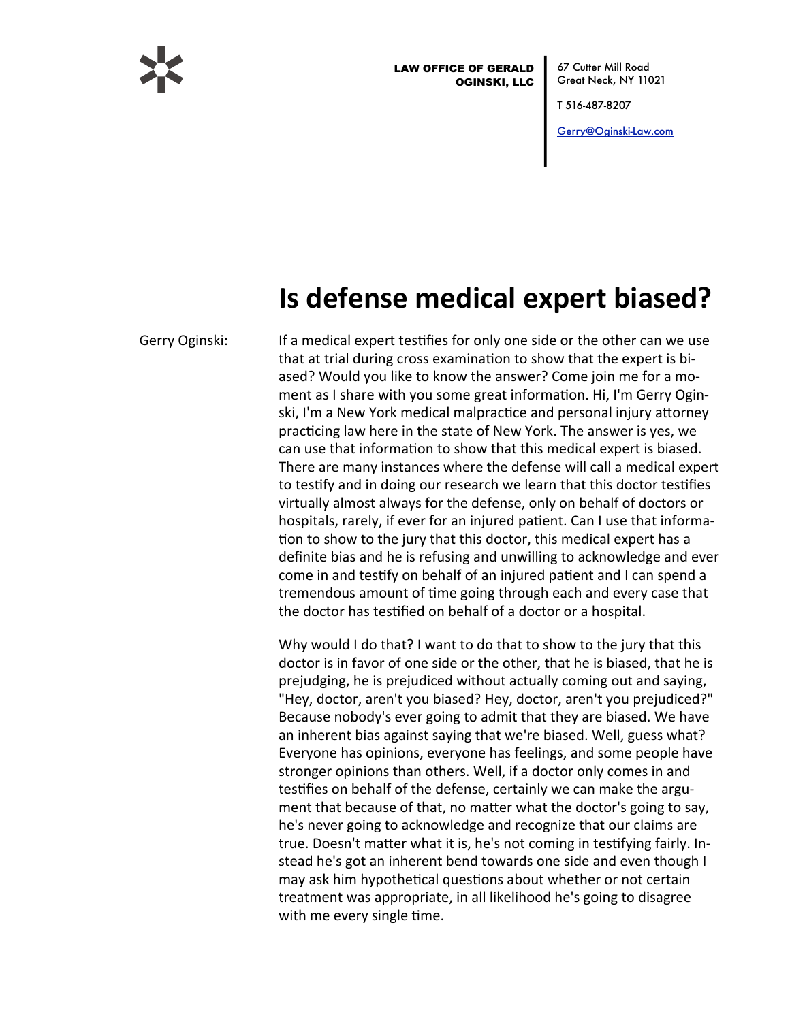

**LAW OFFICE OF GERALD OGINSKI, LLC**  67 Cutter Mill Road Great Neck, NY 11021

T 516-487-8207

Gerry@Oginski-Law.com

## Is defense medical expert biased?

Gerry Oginski:

If a medical expert testifies for only one side or the other can we use that at trial during cross examination to show that the expert is biased? Would you like to know the answer? Come join me for a moment as I share with you some great information. Hi, I'm Gerry Oginski, I'm a New York medical malpractice and personal injury attorney practicing law here in the state of New York. The answer is yes, we can use that information to show that this medical expert is biased. There are many instances where the defense will call a medical expert to testify and in doing our research we learn that this doctor testifies virtually almost always for the defense, only on behalf of doctors or hospitals, rarely, if ever for an injured patient. Can I use that information to show to the jury that this doctor, this medical expert has a definite bias and he is refusing and unwilling to acknowledge and ever come in and testify on behalf of an injured patient and I can spend a tremendous amount of time going through each and every case that the doctor has testified on behalf of a doctor or a hospital.

Why would I do that? I want to do that to show to the jury that this doctor is in favor of one side or the other, that he is biased, that he is prejudging, he is prejudiced without actually coming out and saying, "Hey, doctor, aren't you biased? Hey, doctor, aren't you prejudiced?" Because nobody's ever going to admit that they are biased. We have an inherent bias against saying that we're biased. Well, guess what? Everyone has opinions, everyone has feelings, and some people have stronger opinions than others. Well, if a doctor only comes in and testifies on behalf of the defense, certainly we can make the argument that because of that, no matter what the doctor's going to say, he's never going to acknowledge and recognize that our claims are true. Doesn't matter what it is, he's not coming in testifying fairly. Instead he's got an inherent bend towards one side and even though I may ask him hypothetical questions about whether or not certain treatment was appropriate, in all likelihood he's going to disagree with me every single time.